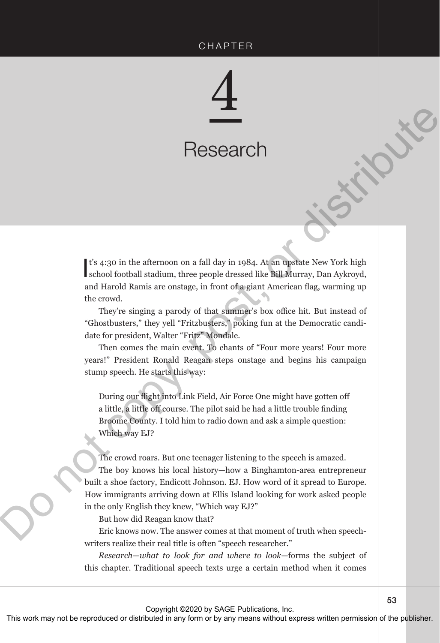# 4 Research

 $\mathfrak l$  is 4:30 in the afternoon on a fall day in 1984. At an upstate New York high school football stadium, three people dressed like Bill Murray, Dan Aykroyd, t's 4:30 in the afternoon on a fall day in 1984. At an upstate New York high and Harold Ramis are onstage, in front of a giant American flag, warming up the crowd.

They're singing a parody of that summer's box office hit. But instead of "Ghostbusters," they yell "Fritzbusters," poking fun at the Democratic candidate for president, Walter "Fritz" Mondale.

Then comes the main event. To chants of "Four more years! Four more years!" President Ronald Reagan steps onstage and begins his campaign stump speech. He starts this way:

During our flight into Link Field, Air Force One might have gotten off a little, a little off course. The pilot said he had a little trouble finding Broome County. I told him to radio down and ask a simple question: Which way EJ?

The crowd roars. But one teenager listening to the speech is amazed. The boy knows his local history—how a Binghamton-area entrepreneur built a shoe factory, Endicott Johnson. EJ. How word of it spread to Europe. How immigrants arriving down at Ellis Island looking for work asked people in the only English they knew, "Which way EJ?" This work may not be reproduced or distributed in any interaction or by an  $\mathbb{R}^n$  means with  $\mathbb{R}^n$  means were reproduced in any means  $\mathbb{R}^n$  means  $\mathbb{R}^n$  means  $\mathbb{R}^n$  means  $\mathbb{R}^n$  means  $\mathbb{R}^n$ 

But how did Reagan know that?

Eric knows now. The answer comes at that moment of truth when speechwriters realize their real title is often "speech researcher."

*Research*—*what to look for and where to look*—forms the subject of this chapter. Traditional speech texts urge a certain method when it comes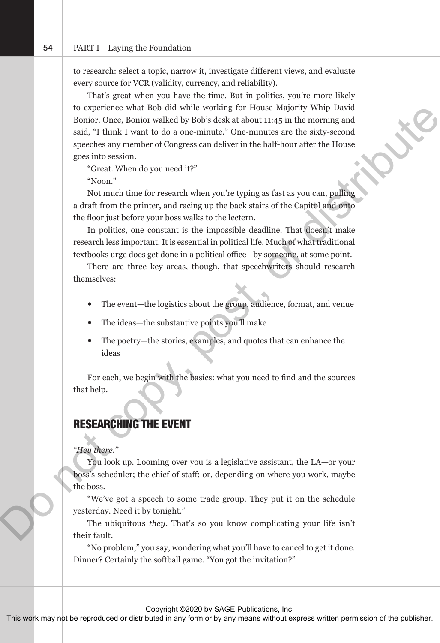## 54 | PART I Laying the Foundation

to research: select a topic, narrow it, investigate different views, and evaluate every source for VCR (validity, currency, and reliability).

That's great when you have the time. But in politics, you're more likely to experience what Bob did while working for House Majority Whip David Bonior. Once, Bonior walked by Bob's desk at about 11:45 in the morning and said, "I think I want to do a one-minute." One-minutes are the sixty-second speeches any member of Congress can deliver in the half-hour after the House goes into session. to experience what blood deliver when the repressed or distributed in any form or between the repression of the contents or  $\alpha$  contents or the contents or distributed in any means were repressed or the publisher. And an

"Great. When do you need it?"

"Noon."

Not much time for research when you're typing as fast as you can, pulling a draft from the printer, and racing up the back stairs of the Capitol and onto the floor just before your boss walks to the lectern.

In politics, one constant is the impossible deadline. That doesn't make research less important. It is essential in political life. Much of what traditional textbooks urge does get done in a political office—by someone, at some point.

There are three key areas, though, that speechwriters should research themselves:

- The event—the logistics about the group, audience, format, and venue
- The ideas—the substantive points you'll make
- The poetry—the stories, examples, and quotes that can enhance the ideas

For each, we begin with the basics: what you need to find and the sources that help.

# RESEARCHING THE EVENT

#### *"Hey there."*

You look up. Looming over you is a legislative assistant, the LA—or your boss's scheduler; the chief of staff; or, depending on where you work, maybe the boss.

"We've got a speech to some trade group. They put it on the schedule yesterday. Need it by tonight."

The ubiquitous *they*. That's so you know complicating your life isn't their fault.

"No problem," you say, wondering what you'll have to cancel to get it done. Dinner? Certainly the softball game. "You got the invitation?"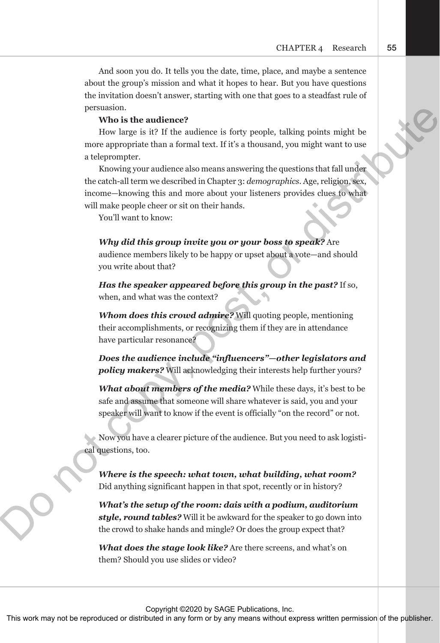And soon you do. It tells you the date, time, place, and maybe a sentence about the group's mission and what it hopes to hear. But you have questions the invitation doesn't answer, starting with one that goes to a steadfast rule of persuasion.

## **Who is the audience?**

How large is it? If the audience is forty people, talking points might be more appropriate than a formal text. If it's a thousand, you might want to use a teleprompter.

Knowing your audience also means answering the questions that fall under the catch-all term we described in Chapter 3: *demographics*. Age, religion, sex, income—knowing this and more about your listeners provides clues to what will make people cheer or sit on their hands. The two three and the results are the results of the results with the reproduced or the reproduced or the reproduced in any form or by any means are also proposed in any form or between the publisher. This content is a me

You'll want to know:

## *Why did this group invite you or your boss to speak?* Are

audience members likely to be happy or upset about a vote—and should you write about that?

*Has the speaker appeared before this group in the past?* If so, when, and what was the context?

*Whom does this crowd admire?* Will quoting people, mentioning their accomplishments, or recognizing them if they are in attendance have particular resonance?

*Does the audience include "influencers"—other legislators and policy makers?* Will acknowledging their interests help further yours?

*What about members of the media?* While these days, it's best to be safe and assume that someone will share whatever is said, you and your speaker will want to know if the event is officially "on the record" or not.

Now you have a clearer picture of the audience. But you need to ask logistical questions, too.

*Where is the speech: what town, what building, what room?* Did anything significant happen in that spot, recently or in history?

*What's the setup of the room: dais with a podium, auditorium style, round tables?* Will it be awkward for the speaker to go down into the crowd to shake hands and mingle? Or does the group expect that?

*What does the stage look like?* Are there screens, and what's on them? Should you use slides or video?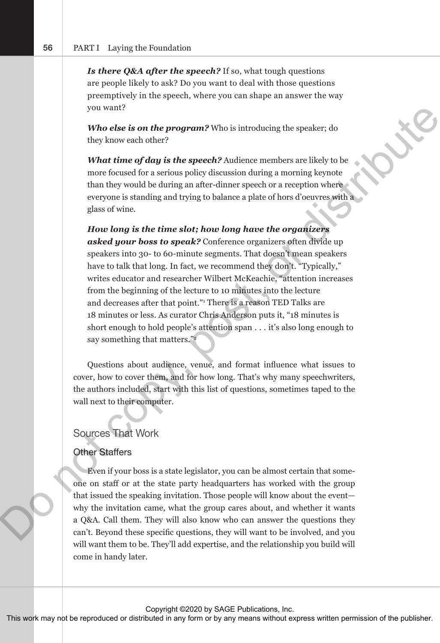*Is there Q&A after the speech?* If so, what tough questions are people likely to ask? Do you want to deal with those questions preemptively in the speech, where you can shape an answer the way you want?

*Who else is on the program?* Who is introducing the speaker; do they know each other?

*What time of day is the speech?* Audience members are likely to be more focused for a serious policy discussion during a morning keynote than they would be during an after-dinner speech or a reception where everyone is standing and trying to balance a plate of hors d'oeuvres with a glass of wine.

*How long is the time slot; how long have the organizers asked your boss to speak?* Conference organizers often divide up speakers into 30- to 60-minute segments. That doesn't mean speakers have to talk that long. In fact, we recommend they don't. "Typically," writes educator and researcher Wilbert McKeachie, "attention increases from the beginning of the lecture to 10 minutes into the lecture and decreases after that point."1 There is a reason TED Talks are 18 minutes or less. As curator Chris Anderson puts it, "18 minutes is short enough to hold people's attention span . . . it's also long enough to say something that matters."<sup>2</sup> The results of the reproduced or distributed in any form or the results of the results with the results of the results of the results are a series without the results are a series with the publishers are placed in any for

Questions about audience, venue, and format influence what issues to cover, how to cover them, and for how long. That's why many speechwriters, the authors included, start with this list of questions, sometimes taped to the wall next to their computer.

# Sources That Work

## Other Staffers

Even if your boss is a state legislator, you can be almost certain that someone on staff or at the state party headquarters has worked with the group that issued the speaking invitation. Those people will know about the event why the invitation came, what the group cares about, and whether it wants a Q&A. Call them. They will also know who can answer the questions they can't. Beyond these specific questions, they will want to be involved, and you will want them to be. They'll add expertise, and the relationship you build will come in handy later.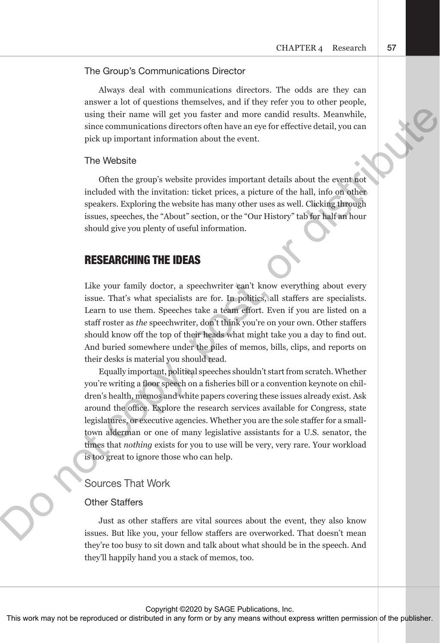## The Group's Communications Director

Always deal with communications directors. The odds are they can answer a lot of questions themselves, and if they refer you to other people, using their name will get you faster and more candid results. Meanwhile, since communications directors often have an eye for effective detail, you can pick up important information about the event.

## The Website

Often the group's website provides important details about the event not included with the invitation: ticket prices, a picture of the hall, info on other speakers. Exploring the website has many other uses as well. Clicking through issues, speeches, the "About" section, or the "Our History" tab for half an hour should give you plenty of useful information.

## RESEARCHING THE IDEAS

Like your family doctor, a speechwriter can't know everything about every issue. That's what specialists are for. In politics, all staffers are specialists. Learn to use them. Speeches take a team effort. Even if you are listed on a staff roster as *the* speechwriter, don't think you're on your own. Other staffers should know off the top of their heads what might take you a day to find out. And buried somewhere under the piles of memos, bills, clips, and reports on their desks is material you should read.

Equally important, political speeches shouldn't start from scratch. Whether you're writing a floor speech on a fisheries bill or a convention keynote on children's health, memos and white papers covering these issues already exist. Ask around the office. Explore the research services available for Congress, state legislatures, or executive agencies. Whether you are the sole staffer for a smalltown alderman or one of many legislative assistants for a U.S. senator, the times that *nothing* exists for you to use will be very, very rare. Your workload is too great to ignore those who can help. may their name will get you have reproduced to the representation, the representation of the reproduced or distributed in any form or by any means with the result of the publisher. Exploring the production that we are not

## Sources That Work

## Other Staffers

Just as other staffers are vital sources about the event, they also know issues. But like you, your fellow staffers are overworked. That doesn't mean they're too busy to sit down and talk about what should be in the speech. And they'll happily hand you a stack of memos, too.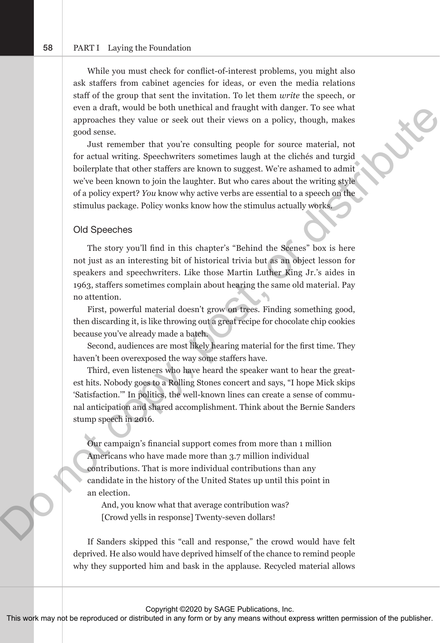While you must check for conflict-of-interest problems, you might also ask staffers from cabinet agencies for ideas, or even the media relations staff of the group that sent the invitation. To let them *write* the speech, or even a draft, would be both unethical and fraught with danger. To see what approaches they value or seek out their views on a policy, though, makes good sense.

Just remember that you're consulting people for source material, not for actual writing. Speechwriters sometimes laugh at the clichés and turgid boilerplate that other staffers are known to suggest. We're ashamed to admit we've been known to join the laughter. But who cares about the writing style of a policy expert? *You* know why active verbs are essential to a speech on the stimulus package. Policy wonks know how the stimulus actually works. even at the reproduced or the reproduced or distributed in any form or by any means when positive any form or by any means we are produced to the result with the publisher. The publisher and the colicity of the publisher

## Old Speeches

The story you'll find in this chapter's "Behind the Scenes" box is here not just as an interesting bit of historical trivia but as an object lesson for speakers and speechwriters. Like those Martin Luther King Jr.'s aides in 1963, staffers sometimes complain about hearing the same old material. Pay no attention.

First, powerful material doesn't grow on trees. Finding something good, then discarding it, is like throwing out a great recipe for chocolate chip cookies because you've already made a batch.

Second, audiences are most likely hearing material for the first time. They haven't been overexposed the way some staffers have.

Third, even listeners who have heard the speaker want to hear the greatest hits. Nobody goes to a Rolling Stones concert and says, "I hope Mick skips 'Satisfaction.'" In politics, the well-known lines can create a sense of communal anticipation and shared accomplishment. Think about the Bernie Sanders stump speech in 2016.

Our campaign's financial support comes from more than 1 million Americans who have made more than 3.7 million individual contributions. That is more individual contributions than any candidate in the history of the United States up until this point in an election.

And, you know what that average contribution was? [Crowd yells in response] Twenty-seven dollars!

If Sanders skipped this "call and response," the crowd would have felt deprived. He also would have deprived himself of the chance to remind people why they supported him and bask in the applause. Recycled material allows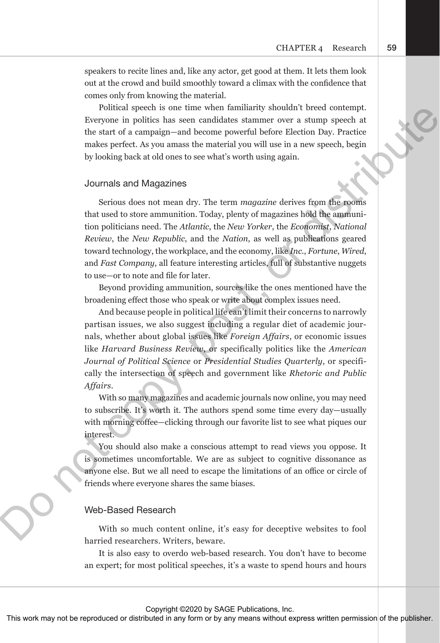speakers to recite lines and, like any actor, get good at them. It lets them look out at the crowd and build smoothly toward a climax with the confidence that comes only from knowing the material.

Political speech is one time when familiarity shouldn't breed contempt. Everyone in politics has seen candidates stammer over a stump speech at the start of a campaign—and become powerful before Election Day. Practice makes perfect. As you amass the material you will use in a new speech, begin by looking back at old ones to see what's worth using again.

## Journals and Magazines

Serious does not mean dry. The term *magazine* derives from the rooms that used to store ammunition. Today, plenty of magazines hold the ammunition politicians need. The *Atlantic*, the *New Yorker*, the *Economist*, *National Review*, the *New Republic*, and the *Nation*, as well as publications geared toward technology, the workplace, and the economy, like *Inc.*, *Fortune*, *Wired*, and *Fast Company*, all feature interesting articles, full of substantive nuggets to use—or to note and file for later.

Beyond providing ammunition, sources like the ones mentioned have the broadening effect those who speak or write about complex issues need.

And because people in political life can't limit their concerns to narrowly partisan issues, we also suggest including a regular diet of academic journals, whether about global issues like *Foreign Affairs*, or economic issues like *Harvard Business Review*, or specifically politics like the *American Journal of Political Science* or *Presidential Studies Quarterly*, or specifically the intersection of speech and government like *Rhetoric and Public Affairs.* Political spokes is one that we controllarities whould be received or there is a controllarities of the controllarities with the publisher. Because the matter of the publisher and boosts points and with the publisher. Bec

With so many magazines and academic journals now online, you may need to subscribe. It's worth it. The authors spend some time every day—usually with morning coffee—clicking through our favorite list to see what piques our interest.

You should also make a conscious attempt to read views you oppose. It is sometimes uncomfortable. We are as subject to cognitive dissonance as anyone else. But we all need to escape the limitations of an office or circle of friends where everyone shares the same biases.

### Web-Based Research

With so much content online, it's easy for deceptive websites to fool harried researchers. Writers, beware.

It is also easy to overdo web-based research. You don't have to become an expert; for most political speeches, it's a waste to spend hours and hours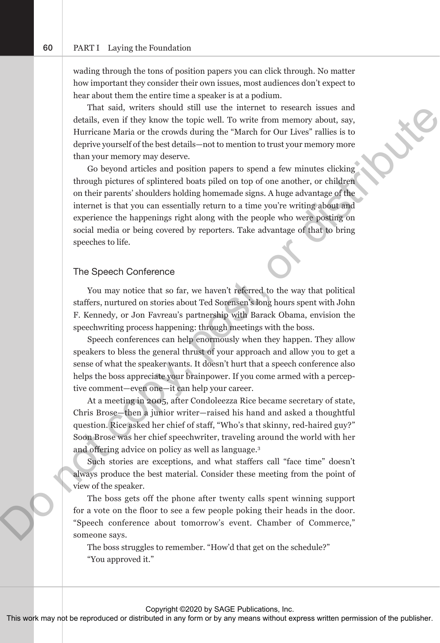wading through the tons of position papers you can click through. No matter how important they consider their own issues, most audiences don't expect to hear about them the entire time a speaker is at a podium.

That said, writers should still use the internet to research issues and details, even if they know the topic well. To write from memory about, say, Hurricane Maria or the crowds during the "March for Our Lives" rallies is to deprive yourself of the best details—not to mention to trust your memory more than your memory may deserve.

Go beyond articles and position papers to spend a few minutes clicking through pictures of splintered boats piled on top of one another, or children on their parents' shoulders holding homemade signs. A huge advantage of the internet is that you can essentially return to a time you're writing about and experience the happenings right along with the people who were posting on social media or being covered by reporters. Take advantage of that to bring speeches to life. That saids verifies showth will be the interest to research is<br>secure any form or the publisher. The reproduced or the constraints have a specifically the stationary means were may be reproduced in the publisher. National

## The Speech Conference

You may notice that so far, we haven't referred to the way that political staffers, nurtured on stories about Ted Sorensen's long hours spent with John F. Kennedy, or Jon Favreau's partnership with Barack Obama, envision the speechwriting process happening: through meetings with the boss.

Speech conferences can help enormously when they happen. They allow speakers to bless the general thrust of your approach and allow you to get a sense of what the speaker wants. It doesn't hurt that a speech conference also helps the boss appreciate your brainpower. If you come armed with a perceptive comment—even one—it can help your career.

At a meeting in 2005, after Condoleezza Rice became secretary of state, Chris Brose—then a junior writer—raised his hand and asked a thoughtful question. Rice asked her chief of staff, "Who's that skinny, red-haired guy?" Soon Brose was her chief speechwriter, traveling around the world with her and offering advice on policy as well as language.<sup>3</sup>

Such stories are exceptions, and what staffers call "face time" doesn't always produce the best material. Consider these meeting from the point of view of the speaker.

The boss gets off the phone after twenty calls spent winning support for a vote on the floor to see a few people poking their heads in the door. "Speech conference about tomorrow's event. Chamber of Commerce," someone says.

The boss struggles to remember. "How'd that get on the schedule?" "You approved it."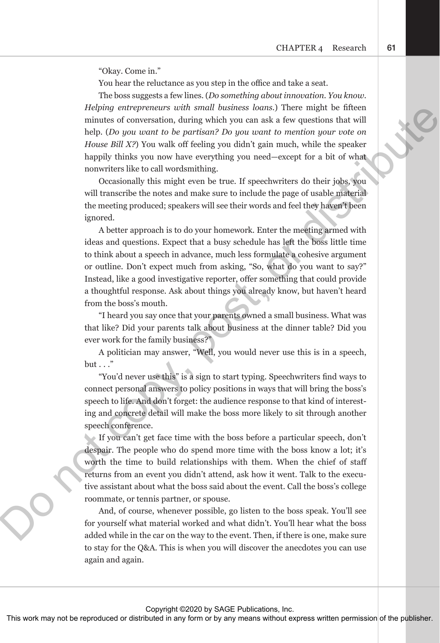"Okay. Come in."

You hear the reluctance as you step in the office and take a seat.

The boss suggests a few lines. (*Do something about innovation. You know. Helping entrepreneurs with small business loans.*) There might be fifteen minutes of conversation, during which you can ask a few questions that will help. (*Do you want to be partisan? Do you want to mention your vote on House Bill X?*) You walk off feeling you didn't gain much, while the speaker happily thinks you now have everything you need—except for a bit of what nonwriters like to call wordsmithing.

Occasionally this might even be true. If speechwriters do their jobs, you will transcribe the notes and make sure to include the page of usable material the meeting produced; speakers will see their words and feel they haven't been ignored.

A better approach is to do your homework. Enter the meeting armed with ideas and questions. Expect that a busy schedule has left the boss little time to think about a speech in advance, much less formulate a cohesive argument or outline. Don't expect much from asking, "So, what do you want to say?" Instead, like a good investigative reporter, offer something that could provide a thoughtful response. Ask about things you already know, but haven't heard from the boss's mouth. Henry are represents to the particle of the rest or by any state. There is the reproduced or the publisher or distributed in any form or by any state of the publisher. This we are the publisher of the publisher of the pub

"I heard you say once that your parents owned a small business. What was that like? Did your parents talk about business at the dinner table? Did you ever work for the family business?"

A politician may answer, "Well, you would never use this is in a speech, but . . ."

"You'd never use this" is a sign to start typing. Speechwriters find ways to connect personal answers to policy positions in ways that will bring the boss's speech to life. And don't forget: the audience response to that kind of interesting and concrete detail will make the boss more likely to sit through another speech conference.

If you can't get face time with the boss before a particular speech, don't despair. The people who do spend more time with the boss know a lot; it's worth the time to build relationships with them. When the chief of staff returns from an event you didn't attend, ask how it went. Talk to the executive assistant about what the boss said about the event. Call the boss's college roommate, or tennis partner, or spouse.

And, of course, whenever possible, go listen to the boss speak. You'll see for yourself what material worked and what didn't. You'll hear what the boss added while in the car on the way to the event. Then, if there is one, make sure to stay for the Q&A. This is when you will discover the anecdotes you can use again and again.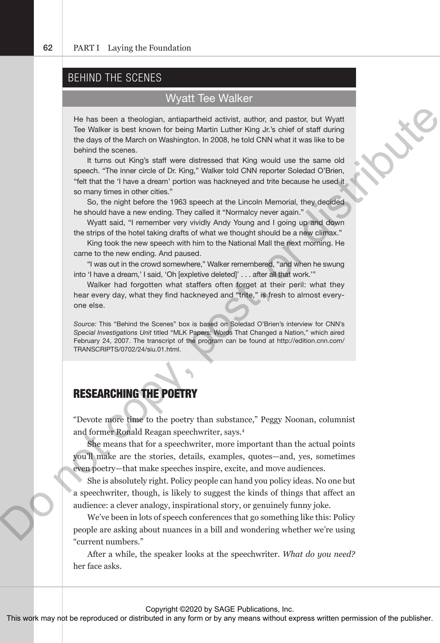# BEHIND THE SCENES

# Wyatt Tee Walker

He has been a theologian, antiapartheid activist, author, and pastor, but Wyatt Tee Walker is best known for being Martin Luther King Jr.'s chief of staff during the days of the March on Washington. In 2008, he told CNN what it was like to be behind the scenes.

It turns out King's staff were distressed that King would use the same old speech. "The inner circle of Dr. King," Walker told CNN reporter Soledad O'Brien, "felt that the 'I have a dream' portion was hackneyed and trite because he used it so many times in other cities." This work comes the reproduced or distributed in any form or be reproduced to the reproduced or the reproduced or the publisher or  $\alpha$  Copy and  $\alpha$  Copy and  $\alpha$  Copy and  $\alpha$  Copy and  $\alpha$  Copy and  $\alpha$  Copy and  $\alpha$  C

So, the night before the 1963 speech at the Lincoln Memorial, they decided he should have a new ending. They called it "Normalcy never again."

Wyatt said, "I remember very vividly Andy Young and I going up and down the strips of the hotel taking drafts of what we thought should be a new climax."

King took the new speech with him to the National Mall the next morning. He came to the new ending. And paused.

"I was out in the crowd somewhere," Walker remembered, "and when he swung into 'I have a dream,' I said, 'Oh [expletive deleted]' . . . after all that work.'"

Walker had forgotten what staffers often forget at their peril: what they hear every day, what they find hackneyed and "trite," is fresh to almost everyone else.

*Source:* This "Behind the Scenes" box is based on Soledad O'Brien's interview for CNN's *Special Investigations Unit* titled "MLK Papers: Words That Changed a Nation," which aired February 24, 2007. The transcript of the program can be found at http://edition.cnn.com/ TRANSCRIPTS/0702/24/siu.01.html.

# RESEARCHING THE POETRY

"Devote more time to the poetry than substance," Peggy Noonan, columnist and former Ronald Reagan speechwriter, says.4

She means that for a speechwriter, more important than the actual points you'll make are the stories, details, examples, quotes—and, yes, sometimes even poetry—that make speeches inspire, excite, and move audiences.

She is absolutely right. Policy people can hand you policy ideas. No one but a speechwriter, though, is likely to suggest the kinds of things that affect an audience: a clever analogy, inspirational story, or genuinely funny joke.

We've been in lots of speech conferences that go something like this: Policy people are asking about nuances in a bill and wondering whether we're using "current numbers."

After a while, the speaker looks at the speechwriter. *What do you need?* her face asks.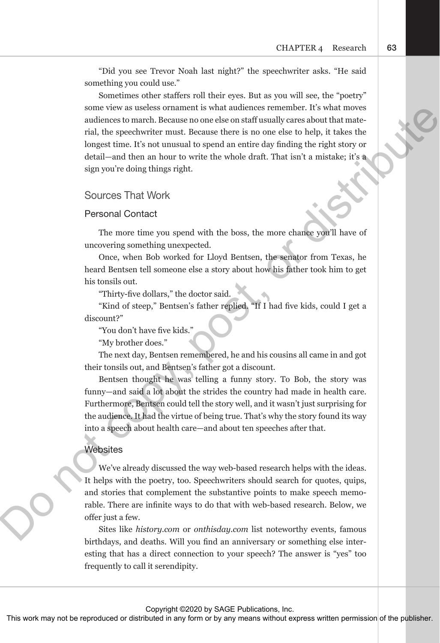"Did you see Trevor Noah last night?" the speechwriter asks. "He said something you could use."

Sometimes other staffers roll their eyes. But as you will see, the "poetry" some view as useless ornament is what audiences remember. It's what moves audiences to march. Because no one else on staff usually cares about that material, the speechwriter must. Because there is no one else to help, it takes the longest time. It's not unusual to spend an entire day finding the right story or detail—and then an hour to write the whole draft. That isn't a mistake; it's a sign you're doing things right. some view as tooks entropied to what may be reproduced or the top float means the reproduced or distributed in any form of the publisher. This weak or both the publishers with the publisher and both the publisher. This wi

## Sources That Work

## Personal Contact

The more time you spend with the boss, the more chance you'll have of uncovering something unexpected.

Once, when Bob worked for Lloyd Bentsen, the senator from Texas, he heard Bentsen tell someone else a story about how his father took him to get his tonsils out.

"Thirty-five dollars," the doctor said.

"Kind of steep," Bentsen's father replied. "If I had five kids, could I get a discount?"

"You don't have five kids."

"My brother does."

The next day, Bentsen remembered, he and his cousins all came in and got their tonsils out, and Bentsen's father got a discount.

Bentsen thought he was telling a funny story. To Bob, the story was funny—and said a lot about the strides the country had made in health care. Furthermore, Bentsen could tell the story well, and it wasn't just surprising for the audience. It had the virtue of being true. That's why the story found its way into a speech about health care—and about ten speeches after that.

### Websites

We've already discussed the way web-based research helps with the ideas. It helps with the poetry, too. Speechwriters should search for quotes, quips, and stories that complement the substantive points to make speech memorable. There are infinite ways to do that with web-based research. Below, we offer just a few.

Sites like *history.com* or *onthisday.com* list noteworthy events, famous birthdays, and deaths. Will you find an anniversary or something else interesting that has a direct connection to your speech? The answer is "yes" too frequently to call it serendipity.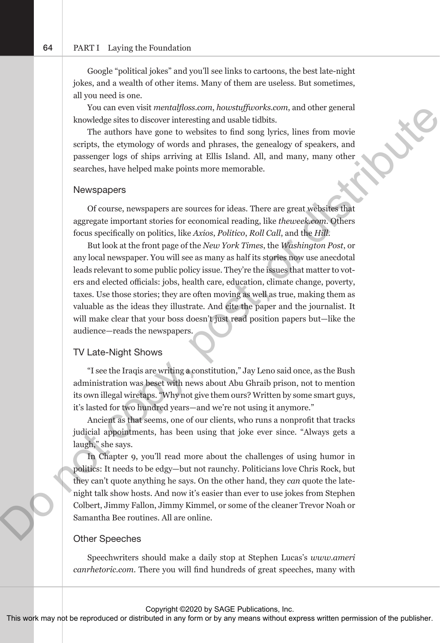## 64 PART I Laying the Foundation

Google "political jokes" and you'll see links to cartoons, the best late-night jokes, and a wealth of other items. Many of them are useless. But sometimes, all you need is one.

You can even visit *mentalfloss.com*, *howstuffworks.com*, and other general knowledge sites to discover interesting and usable tidbits.

The authors have gone to websites to find song lyrics, lines from movie scripts, the etymology of words and phrases, the genealogy of speakers, and passenger logs of ships arriving at Ellis Island. All, and many, many other searches, have helped make points more memorable.

### **Newspapers**

Of course, newspapers are sources for ideas. There are great websites that aggregate important stories for economical reading, like *theweek.com*. Others focus specifically on politics, like *Axios*, *Politico*, *Roll Call*, and the *Hill*.

But look at the front page of the *New York Times*, the *Washington Post*, or any local newspaper. You will see as many as half its stories now use anecdotal leads relevant to some public policy issue. They're the issues that matter to voters and elected officials: jobs, health care, education, climate change, poverty, taxes. Use those stories; they are often moving as well as true, making them as valuable as the ideas they illustrate. And cite the paper and the journalist*.* It will make clear that your boss doesn't just read position papers but—like the audience—reads the newspapers. You can convine the means when the means when the reproduced or distributed in any form or by any with the reproduced or the same of the same of the same of the same of the publisher. The same of the publisher and the pu

## TV Late-Night Shows

"I see the Iraqis are writing a constitution," Jay Leno said once, as the Bush administration was beset with news about Abu Ghraib prison, not to mention its own illegal wiretaps. "Why not give them ours? Written by some smart guys, it's lasted for two hundred years—and we're not using it anymore."

Ancient as that seems, one of our clients, who runs a nonprofit that tracks judicial appointments, has been using that joke ever since. "Always gets a laugh," she says.

In Chapter 9, you'll read more about the challenges of using humor in politics: It needs to be edgy—but not raunchy. Politicians love Chris Rock, but they can't quote anything he says. On the other hand, they *can* quote the latenight talk show hosts. And now it's easier than ever to use jokes from Stephen Colbert, Jimmy Fallon, Jimmy Kimmel, or some of the cleaner Trevor Noah or Samantha Bee routines. All are online.

## Other Speeches

Speechwriters should make a daily stop at Stephen Lucas's *www.ameri canrhetoric.com.* There you will find hundreds of great speeches, many with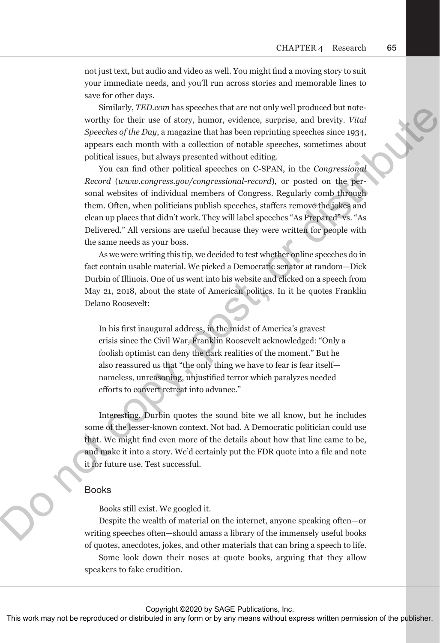not just text, but audio and video as well. You might find a moving story to suit your immediate needs, and you'll run across stories and memorable lines to save for other days.

Similarly, *TED.com* has speeches that are not only well produced but noteworthy for their use of story, humor, evidence, surprise, and brevity. *Vital Speeches of the Day*, a magazine that has been reprinting speeches since 1934, appears each month with a collection of notable speeches, sometimes about political issues, but always presented without editing.

You can find other political speeches on C-SPAN, in the *Congressional Record* (*www.congress.gov/congressional-record*), or posted on the personal websites of individual members of Congress. Regularly comb through them. Often, when politicians publish speeches, staffers remove the jokes and clean up places that didn't work. They will label speeches "As Prepared" vs. "As Delivered." All versions are useful because they were written for people with the same needs as your boss. Similarly, 7.120. over the reproduced by the reproduced by the reproduced in any form or by any means with a specifical specifical specifical specifical specifical specifical specifical specifical specifical specifical sp

As we were writing this tip, we decided to test whether online speeches do in fact contain usable material. We picked a Democratic senator at random—Dick Durbin of Illinois. One of us went into his website and clicked on a speech from May 21, 2018, about the state of American politics. In it he quotes Franklin Delano Roosevelt:

In his first inaugural address, in the midst of America's gravest crisis since the Civil War, Franklin Roosevelt acknowledged: "Only a foolish optimist can deny the dark realities of the moment." But he also reassured us that "the only thing we have to fear is fear itself nameless, unreasoning, unjustified terror which paralyzes needed efforts to convert retreat into advance."

Interesting. Durbin quotes the sound bite we all know, but he includes some of the lesser-known context. Not bad. A Democratic politician could use that. We might find even more of the details about how that line came to be, and make it into a story. We'd certainly put the FDR quote into a file and note it for future use. Test successful.

## **Books**

Books still exist. We googled it.

Despite the wealth of material on the internet, anyone speaking often—or writing speeches often—should amass a library of the immensely useful books of quotes, anecdotes, jokes, and other materials that can bring a speech to life.

Some look down their noses at quote books, arguing that they allow speakers to fake erudition.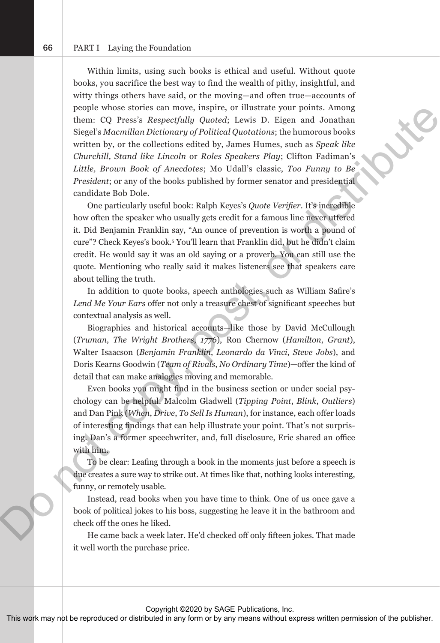#### 66 PART I Laying the Foundation

Within limits, using such books is ethical and useful. Without quote books, you sacrifice the best way to find the wealth of pithy, insightful, and witty things others have said, or the moving—and often true—accounts of people whose stories can move, inspire, or illustrate your points. Among them: CQ Press's *Respectfully Quoted*; Lewis D. Eigen and Jonathan Siegel's *Macmillan Dictionary of Political Quotations*; the humorous books written by, or the collections edited by, James Humes, such as *Speak like Churchill, Stand like Lincoln* or *Roles Speakers Play*; Clifton Fadiman's *Little, Brown Book of Anecdotes*; Mo Udall's classic, *Too Funny to Be President*; or any of the books published by former senator and presidential candidate Bob Dole. popels whose statestics can invest in the reproduced Outcombus the burstics of the product of Outcombus the human states with the statestics of the control of the control of the publisher. For burstics with the component o

One particularly useful book: Ralph Keyes's *Quote Verifier.* It's incredible how often the speaker who usually gets credit for a famous line never uttered it. Did Benjamin Franklin say, "An ounce of prevention is worth a pound of cure"? Check Keyes's book.<sup>5</sup> You'll learn that Franklin did, but he didn't claim credit. He would say it was an old saying or a proverb. You can still use the quote. Mentioning who really said it makes listeners see that speakers care about telling the truth.

In addition to quote books, speech anthologies such as William Safire's *Lend Me Your Ears* offer not only a treasure chest of significant speeches but contextual analysis as well.

Biographies and historical accounts—like those by David McCullough (*Truman*, *The Wright Brothers*, *1776*), Ron Chernow (*Hamilton*, *Grant*), Walter Isaacson (*Benjamin Franklin*, *Leonardo da Vinci*, *Steve Jobs*), and Doris Kearns Goodwin (*Team of Rivals*, *No Ordinary Time*)—offer the kind of detail that can make analogies moving and memorable.

Even books you might find in the business section or under social psychology can be helpful. Malcolm Gladwell (*Tipping Point*, *Blink*, *Outliers*) and Dan Pink (*When*, *Drive*, *To Sell Is Human*), for instance, each offer loads of interesting findings that can help illustrate your point. That's not surprising. Dan's a former speechwriter, and, full disclosure, Eric shared an office with him.

To be clear: Leafing through a book in the moments just before a speech is due creates a sure way to strike out. At times like that, nothing looks interesting, funny, or remotely usable.

Instead, read books when you have time to think. One of us once gave a book of political jokes to his boss, suggesting he leave it in the bathroom and check off the ones he liked.

He came back a week later. He'd checked off only fifteen jokes. That made it well worth the purchase price.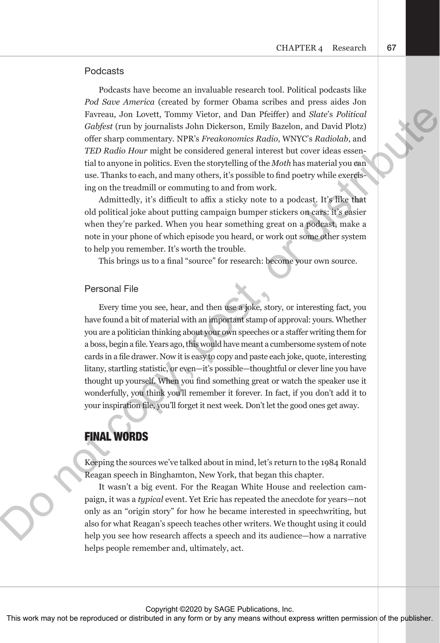## Podcasts

Podcasts have become an invaluable research tool. Political podcasts like *Pod Save America* (created by former Obama scribes and press aides Jon Favreau, Jon Lovett, Tommy Vietor, and Dan Pfeiffer) and *Slate*'s *Political Gabfest* (run by journalists John Dickerson, Emily Bazelon, and David Plotz) offer sharp commentary. NPR's *Freakonomics Radio*, WNYC's *Radiolab*, and *TED Radio Hour* might be considered general interest but cover ideas essential to anyone in politics. Even the storytelling of the *Moth* has material you can use. Thanks to each, and many others, it's possible to find poetry while exercising on the treadmill or commuting to and from work.

Admittedly, it's difficult to affix a sticky note to a podcast. It's like that old political joke about putting campaign bumper stickers on cars: it's easier when they're parked. When you hear something great on a podcast, make a note in your phone of which episode you heard, or work out some other system to help you remember. It's worth the trouble.

This brings us to a final "source" for research: become your own source.

## Personal File

Every time you see, hear, and then use a joke, story, or interesting fact, you have found a bit of material with an important stamp of approval: yours. Whether you are a politician thinking about your own speeches or a staffer writing them for a boss, begin a file. Years ago, this would have meant a cumbersome system of note cards in a file drawer. Now it is easy to copy and paste each joke, quote, interesting litany, startling statistic, or even—it's possible—thoughtful or clever line you have thought up yourself. When you find something great or watch the speaker use it wonderfully, you think you'll remember it forever. In fact, if you don't add it to your inspiration file, you'll forget it next week. Don't let the good ones get away. The results are the repression of the repression or distributed and Solar Pointins and Divid Poisition or CR and Divid Poisition or Divid Divid Control of the Poisition or Bartist Divid Divid Control of the publisher. A P

# FINAL WORDS

Keeping the sources we've talked about in mind, let's return to the 1984 Ronald Reagan speech in Binghamton, New York, that began this chapter.

It wasn't a big event. For the Reagan White House and reelection campaign, it was a *typical* event. Yet Eric has repeated the anecdote for years—not only as an "origin story" for how he became interested in speechwriting, but also for what Reagan's speech teaches other writers. We thought using it could help you see how research affects a speech and its audience—how a narrative helps people remember and, ultimately, act.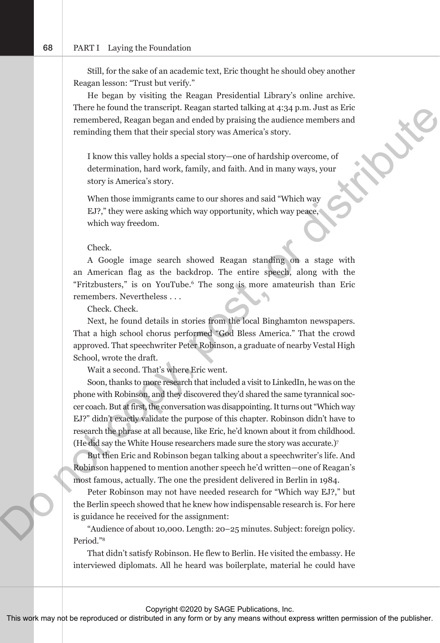Still, for the sake of an academic text, Eric thought he should obey another Reagan lesson: "Trust but verify."

He began by visiting the Reagan Presidential Library's online archive. There he found the transcript. Reagan started talking at 4:34 p.m. Just as Eric remembered, Reagan began and ended by praising the audience members and reminding them that their special story was America's story.

I know this valley holds a special story—one of hardship overcome, of determination, hard work, family, and faith. And in many ways, your story is America's story.

When those immigrants came to our shores and said "Which way EJ?," they were asking which way opportunity, which way peace, which way freedom.

## Check.

A Google image search showed Reagan standing on a stage with an American flag as the backdrop. The entire speech, along with the "Fritzbusters," is on YouTube.6 The song is more amateurish than Eric remembers. Nevertheless . . .

Check. Check.

Next, he found details in stories from the local Binghamton newspapers. That a high school chorus performed "God Bless America." That the crowd approved. That speechwriter Peter Robinson, a graduate of nearby Vestal High School, wrote the draft.

Wait a second. That's where Eric went.

Soon, thanks to more research that included a visit to LinkedIn, he was on the phone with Robinson, and they discovered they'd shared the same tyrannical soccer coach. But at first, the conversation was disappointing. It turns out "Which way EJ?" didn't exactly validate the purpose of this chapter. Robinson didn't have to research the phrase at all because, like Eric, he'd known about it from childhood. (He did say the White House researchers made sure the story was accurate.)7 There he found the transition of the reproduced or distributed in a publisher and the reproduced or distributed in any form or  $\sim$   $\alpha$  the representation, have been found in a the publisher of the publisher permission o

But then Eric and Robinson began talking about a speechwriter's life. And Robinson happened to mention another speech he'd written—one of Reagan's most famous, actually. The one the president delivered in Berlin in 1984.

Peter Robinson may not have needed research for "Which way EJ?," but the Berlin speech showed that he knew how indispensable research is. For here is guidance he received for the assignment:

"Audience of about 10,000. Length: 20–25 minutes. Subject: foreign policy. Period."8

That didn't satisfy Robinson. He flew to Berlin. He visited the embassy. He interviewed diplomats. All he heard was boilerplate, material he could have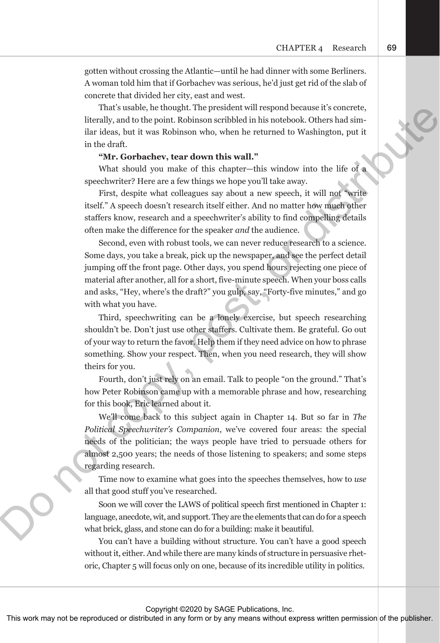gotten without crossing the Atlantic—until he had dinner with some Berliners. A woman told him that if Gorbachev was serious, he'd just get rid of the slab of concrete that divided her city, east and west.

That's usable, he thought. The president will respond because it's concrete, literally, and to the point. Robinson scribbled in his notebook. Others had similar ideas, but it was Robinson who, when he returned to Washington, put it in the draft.

## **"Mr. Gorbachev, tear down this wall."**

What should you make of this chapter—this window into the life of a speechwriter? Here are a few things we hope you'll take away.

First, despite what colleagues say about a new speech, it will not "write itself." A speech doesn't research itself either. And no matter how much other staffers know, research and a speechwriter's ability to find compelling details often make the difference for the speaker *and* the audience.

Second, even with robust tools, we can never reduce research to a science. Some days, you take a break, pick up the newspaper, and see the perfect detail jumping off the front page. Other days, you spend hours rejecting one piece of material after another, all for a short, five-minute speech. When your boss calls and asks, "Hey, where's the draft?" you gulp, say, "Forty-five minutes," and go with what you have. That we solonic the chosen of the pression will exponent be<br>come of the chosen of the chosen or distributed in any form or by any means that the chosen or<br>the definition of the chosen or distributed in a streament to Wash

Third, speechwriting can be a lonely exercise, but speech researching shouldn't be. Don't just use other staffers. Cultivate them. Be grateful. Go out of your way to return the favor. Help them if they need advice on how to phrase something. Show your respect. Then, when you need research, they will show theirs for you.

Fourth, don't just rely on an email. Talk to people "on the ground." That's how Peter Robinson came up with a memorable phrase and how, researching for this book, Eric learned about it.

We'll come back to this subject again in Chapter 14. But so far in *The Political Speechwriter's Companion*, we've covered four areas: the special needs of the politician; the ways people have tried to persuade others for almost 2,500 years; the needs of those listening to speakers; and some steps regarding research.

Time now to examine what goes into the speeches themselves, how to *use* all that good stuff you've researched.

Soon we will cover the LAWS of political speech first mentioned in Chapter 1: language, anecdote, wit, and support. They are the elements that can do for a speech what brick, glass, and stone can do for a building: make it beautiful.

You can't have a building without structure. You can't have a good speech without it, either. And while there are many kinds of structure in persuasive rhetoric, Chapter 5 will focus only on one, because of its incredible utility in politics.